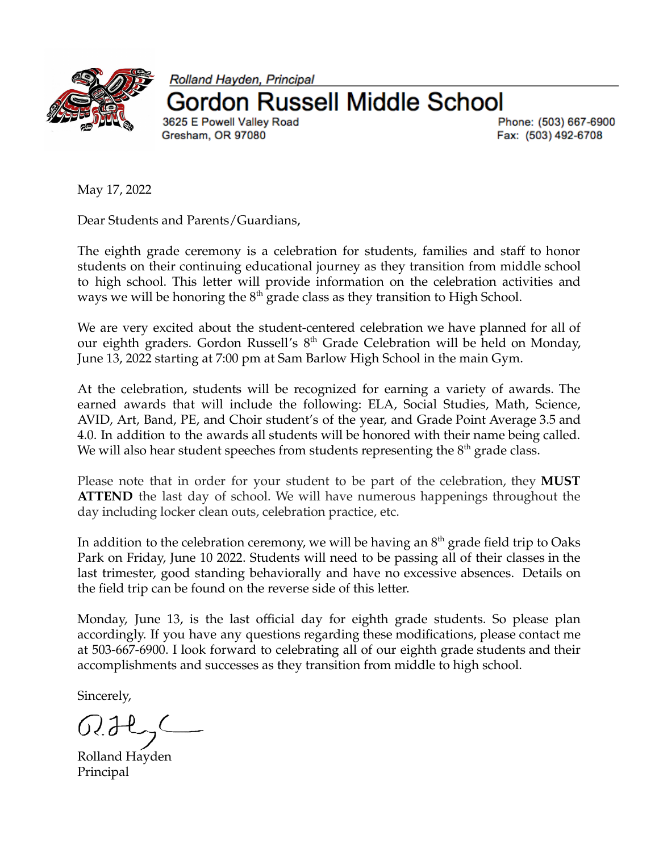

Rolland Hayden, Principal on Russell Middle School 3625 E Powell Valley Road Gresham, OR 97080

Phone: (503) 667-6900 Fax: (503) 492-6708

May 17, 2022

Dear Students and Parents/Guardians,

The eighth grade ceremony is a celebration for students, families and staff to honor students on their continuing educational journey as they transition from middle school to high school. This letter will provide information on the celebration activities and ways we will be honoring the  $8<sup>th</sup>$  grade class as they transition to High School.

We are very excited about the student-centered celebration we have planned for all of our eighth graders. Gordon Russell's 8<sup>th</sup> Grade Celebration will be held on Monday, June 13, 2022 starting at 7:00 pm at Sam Barlow High School in the main Gym.

At the celebration, students will be recognized for earning a variety of awards. The earned awards that will include the following: ELA, Social Studies, Math, Science, AVID, Art, Band, PE, and Choir student's of the year, and Grade Point Average 3.5 and 4.0. In addition to the awards all students will be honored with their name being called. We will also hear student speeches from students representing the  $8<sup>th</sup>$  grade class.

Please note that in order for your student to be part of the celebration, they **MUST ATTEND** the last day of school. We will have numerous happenings throughout the day including locker clean outs, celebration practice, etc.

In addition to the celebration ceremony, we will be having an  $8^{\rm th}$  grade field trip to Oaks Park on Friday, June 10 2022. Students will need to be passing all of their classes in the last trimester, good standing behaviorally and have no excessive absences. Details on the field trip can be found on the reverse side of this letter.

Monday, June 13, is the last official day for eighth grade students. So please plan accordingly. If you have any questions regarding these modifications, please contact me at 503-667-6900. I look forward to celebrating all of our eighth grade students and their accomplishments and successes as they transition from middle to high school.

Sincerely,

Rolland Hayden Principal